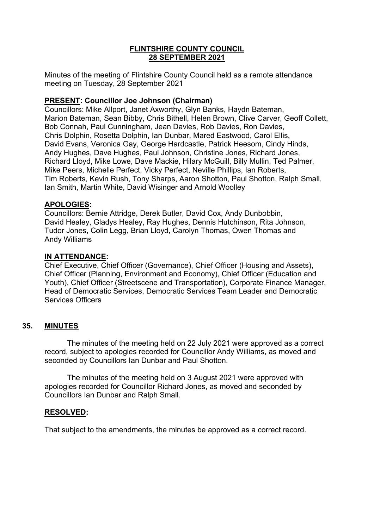# **FLINTSHIRE COUNTY COUNCIL 28 SEPTEMBER 2021**

Minutes of the meeting of Flintshire County Council held as a remote attendance meeting on Tuesday, 28 September 2021

# **PRESENT: Councillor Joe Johnson (Chairman)**

Councillors: Mike Allport, Janet Axworthy, Glyn Banks, Haydn Bateman, Marion Bateman, Sean Bibby, Chris Bithell, Helen Brown, Clive Carver, Geoff Collett, Bob Connah, Paul Cunningham, Jean Davies, Rob Davies, Ron Davies, Chris Dolphin, Rosetta Dolphin, Ian Dunbar, Mared Eastwood, Carol Ellis, David Evans, Veronica Gay, George Hardcastle, Patrick Heesom, Cindy Hinds, Andy Hughes, Dave Hughes, Paul Johnson, Christine Jones, Richard Jones, Richard Lloyd, Mike Lowe, Dave Mackie, Hilary McGuill, Billy Mullin, Ted Palmer, Mike Peers, Michelle Perfect, Vicky Perfect, Neville Phillips, Ian Roberts, Tim Roberts, Kevin Rush, Tony Sharps, Aaron Shotton, Paul Shotton, Ralph Small, Ian Smith, Martin White, David Wisinger and Arnold Woolley

# **APOLOGIES:**

Councillors: Bernie Attridge, Derek Butler, David Cox, Andy Dunbobbin, David Healey, Gladys Healey, Ray Hughes, Dennis Hutchinson, Rita Johnson, Tudor Jones, Colin Legg, Brian Lloyd, Carolyn Thomas, Owen Thomas and Andy Williams

# **IN ATTENDANCE:**

Chief Executive, Chief Officer (Governance), Chief Officer (Housing and Assets), Chief Officer (Planning, Environment and Economy), Chief Officer (Education and Youth), Chief Officer (Streetscene and Transportation), Corporate Finance Manager, Head of Democratic Services, Democratic Services Team Leader and Democratic Services Officers

# **35. MINUTES**

The minutes of the meeting held on 22 July 2021 were approved as a correct record, subject to apologies recorded for Councillor Andy Williams, as moved and seconded by Councillors Ian Dunbar and Paul Shotton.

The minutes of the meeting held on 3 August 2021 were approved with apologies recorded for Councillor Richard Jones, as moved and seconded by Councillors Ian Dunbar and Ralph Small.

# **RESOLVED:**

That subject to the amendments, the minutes be approved as a correct record.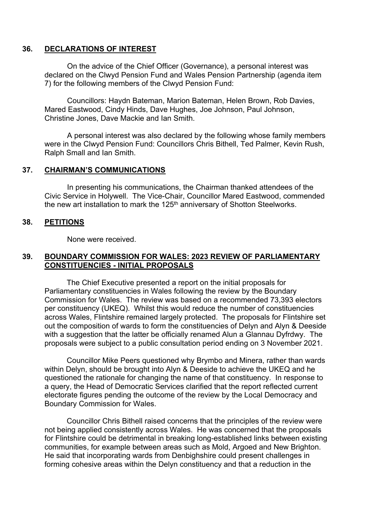## **36. DECLARATIONS OF INTEREST**

On the advice of the Chief Officer (Governance), a personal interest was declared on the Clwyd Pension Fund and Wales Pension Partnership (agenda item 7) for the following members of the Clwyd Pension Fund:

Councillors: Haydn Bateman, Marion Bateman, Helen Brown, Rob Davies, Mared Eastwood, Cindy Hinds, Dave Hughes, Joe Johnson, Paul Johnson, Christine Jones, Dave Mackie and Ian Smith.

A personal interest was also declared by the following whose family members were in the Clwyd Pension Fund: Councillors Chris Bithell, Ted Palmer, Kevin Rush, Ralph Small and Ian Smith.

## **37. CHAIRMAN'S COMMUNICATIONS**

In presenting his communications, the Chairman thanked attendees of the Civic Service in Holywell. The Vice-Chair, Councillor Mared Eastwood, commended the new art installation to mark the 125<sup>th</sup> anniversary of Shotton Steelworks.

## **38. PETITIONS**

None were received.

# **39. BOUNDARY COMMISSION FOR WALES: 2023 REVIEW OF PARLIAMENTARY CONSTITUENCIES - INITIAL PROPOSALS**

The Chief Executive presented a report on the initial proposals for Parliamentary constituencies in Wales following the review by the Boundary Commission for Wales. The review was based on a recommended 73,393 electors per constituency (UKEQ). Whilst this would reduce the number of constituencies across Wales, Flintshire remained largely protected. The proposals for Flintshire set out the composition of wards to form the constituencies of Delyn and Alyn & Deeside with a suggestion that the latter be officially renamed Alun a Glannau Dyfrdwy. The proposals were subject to a public consultation period ending on 3 November 2021.

Councillor Mike Peers questioned why Brymbo and Minera, rather than wards within Delyn, should be brought into Alyn & Deeside to achieve the UKEQ and he questioned the rationale for changing the name of that constituency. In response to a query, the Head of Democratic Services clarified that the report reflected current electorate figures pending the outcome of the review by the Local Democracy and Boundary Commission for Wales.

Councillor Chris Bithell raised concerns that the principles of the review were not being applied consistently across Wales. He was concerned that the proposals for Flintshire could be detrimental in breaking long-established links between existing communities, for example between areas such as Mold, Argoed and New Brighton. He said that incorporating wards from Denbighshire could present challenges in forming cohesive areas within the Delyn constituency and that a reduction in the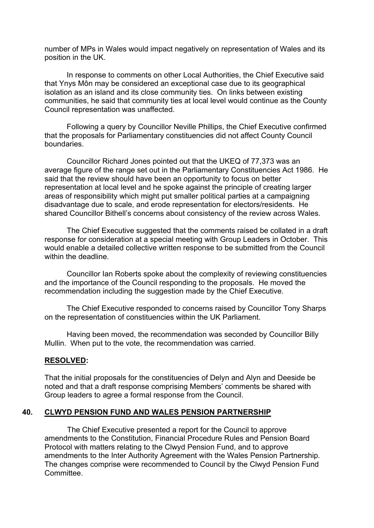number of MPs in Wales would impact negatively on representation of Wales and its position in the UK.

In response to comments on other Local Authorities, the Chief Executive said that Ynys Môn may be considered an exceptional case due to its geographical isolation as an island and its close community ties. On links between existing communities, he said that community ties at local level would continue as the County Council representation was unaffected.

Following a query by Councillor Neville Phillips, the Chief Executive confirmed that the proposals for Parliamentary constituencies did not affect County Council boundaries.

Councillor Richard Jones pointed out that the UKEQ of 77,373 was an average figure of the range set out in the Parliamentary Constituencies Act 1986. He said that the review should have been an opportunity to focus on better representation at local level and he spoke against the principle of creating larger areas of responsibility which might put smaller political parties at a campaigning disadvantage due to scale, and erode representation for electors/residents. He shared Councillor Bithell's concerns about consistency of the review across Wales.

The Chief Executive suggested that the comments raised be collated in a draft response for consideration at a special meeting with Group Leaders in October. This would enable a detailed collective written response to be submitted from the Council within the deadline.

Councillor Ian Roberts spoke about the complexity of reviewing constituencies and the importance of the Council responding to the proposals. He moved the recommendation including the suggestion made by the Chief Executive.

The Chief Executive responded to concerns raised by Councillor Tony Sharps on the representation of constituencies within the UK Parliament.

Having been moved, the recommendation was seconded by Councillor Billy Mullin. When put to the vote, the recommendation was carried.

#### **RESOLVED:**

That the initial proposals for the constituencies of Delyn and Alyn and Deeside be noted and that a draft response comprising Members' comments be shared with Group leaders to agree a formal response from the Council.

## **40. CLWYD PENSION FUND AND WALES PENSION PARTNERSHIP**

The Chief Executive presented a report for the Council to approve amendments to the Constitution, Financial Procedure Rules and Pension Board Protocol with matters relating to the Clwyd Pension Fund, and to approve amendments to the Inter Authority Agreement with the Wales Pension Partnership. The changes comprise were recommended to Council by the Clwyd Pension Fund **Committee.**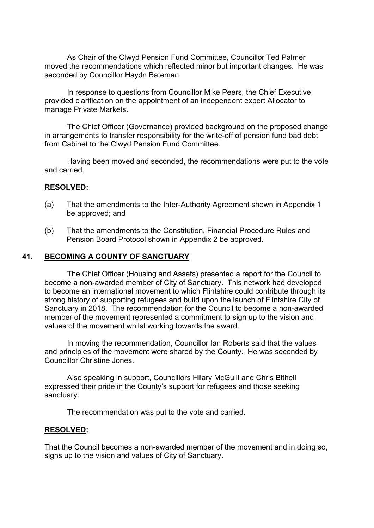As Chair of the Clwyd Pension Fund Committee, Councillor Ted Palmer moved the recommendations which reflected minor but important changes. He was seconded by Councillor Haydn Bateman.

In response to questions from Councillor Mike Peers, the Chief Executive provided clarification on the appointment of an independent expert Allocator to manage Private Markets.

The Chief Officer (Governance) provided background on the proposed change in arrangements to transfer responsibility for the write-off of pension fund bad debt from Cabinet to the Clwyd Pension Fund Committee.

Having been moved and seconded, the recommendations were put to the vote and carried.

#### **RESOLVED:**

- (a) That the amendments to the Inter-Authority Agreement shown in Appendix 1 be approved; and
- (b) That the amendments to the Constitution, Financial Procedure Rules and Pension Board Protocol shown in Appendix 2 be approved.

## **41. BECOMING A COUNTY OF SANCTUARY**

The Chief Officer (Housing and Assets) presented a report for the Council to become a non-awarded member of City of Sanctuary. This network had developed to become an international movement to which Flintshire could contribute through its strong history of supporting refugees and build upon the launch of Flintshire City of Sanctuary in 2018. The recommendation for the Council to become a non-awarded member of the movement represented a commitment to sign up to the vision and values of the movement whilst working towards the award.

In moving the recommendation, Councillor Ian Roberts said that the values and principles of the movement were shared by the County. He was seconded by Councillor Christine Jones.

Also speaking in support, Councillors Hilary McGuill and Chris Bithell expressed their pride in the County's support for refugees and those seeking sanctuary.

The recommendation was put to the vote and carried.

#### **RESOLVED:**

That the Council becomes a non-awarded member of the movement and in doing so, signs up to the vision and values of City of Sanctuary.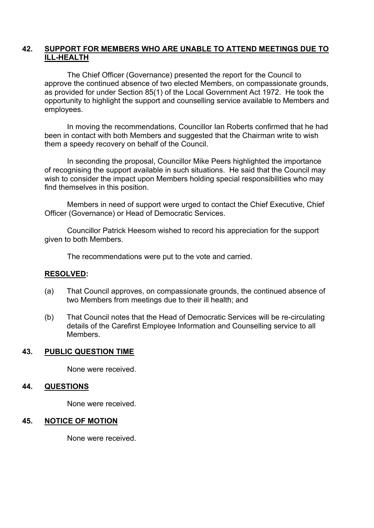# **42. SUPPORT FOR MEMBERS WHO ARE UNABLE TO ATTEND MEETINGS DUE TO ILL-HEALTH**

The Chief Officer (Governance) presented the report for the Council to approve the continued absence of two elected Members, on compassionate grounds, as provided for under Section 85(1) of the Local Government Act 1972. He took the opportunity to highlight the support and counselling service available to Members and employees.

In moving the recommendations, Councillor Ian Roberts confirmed that he had been in contact with both Members and suggested that the Chairman write to wish them a speedy recovery on behalf of the Council.

In seconding the proposal, Councillor Mike Peers highlighted the importance of recognising the support available in such situations. He said that the Council may wish to consider the impact upon Members holding special responsibilities who may find themselves in this position.

Members in need of support were urged to contact the Chief Executive, Chief Officer (Governance) or Head of Democratic Services.

Councillor Patrick Heesom wished to record his appreciation for the support given to both Members.

The recommendations were put to the vote and carried.

#### **RESOLVED:**

- (a) That Council approves, on compassionate grounds, the continued absence of two Members from meetings due to their ill health; and
- (b) That Council notes that the Head of Democratic Services will be re-circulating details of the Carefirst Employee Information and Counselling service to all Members.

### **43. PUBLIC QUESTION TIME**

None were received.

#### **44. QUESTIONS**

None were received.

#### **45. NOTICE OF MOTION**

None were received.